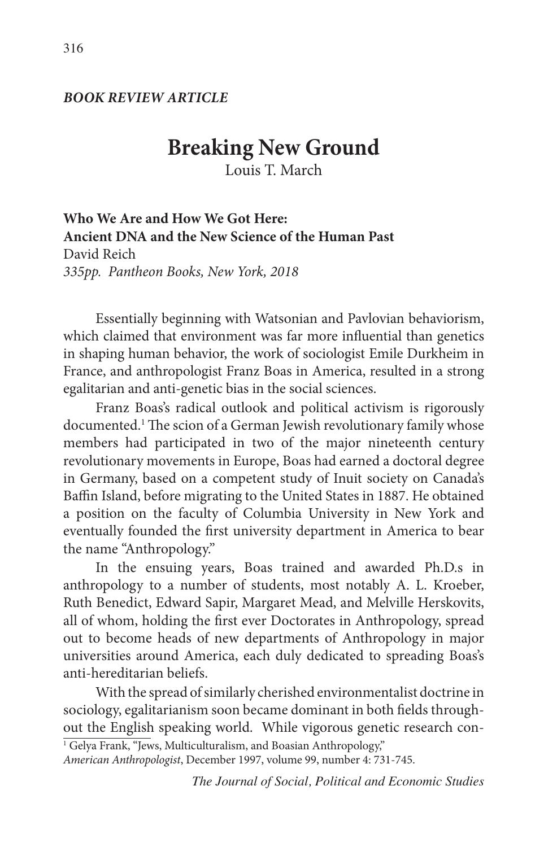### *BOOK REVIEW ARTICLE*

# **Breaking New Ground**

Louis T. March

**Who We Are and How We Got Here: Ancient DNA and the New Science of the Human Past** David Reich *335pp. Pantheon Books, New York, 2018*

Essentially beginning with Watsonian and Pavlovian behaviorism, which claimed that environment was far more influential than genetics in shaping human behavior, the work of sociologist Emile Durkheim in France, and anthropologist Franz Boas in America, resulted in a strong egalitarian and anti-genetic bias in the social sciences.

Franz Boas's radical outlook and political activism is rigorously documented.1 The scion of a German Jewish revolutionary family whose members had participated in two of the major nineteenth century revolutionary movements in Europe, Boas had earned a doctoral degree in Germany, based on a competent study of Inuit society on Canada's Baffin Island, before migrating to the United States in 1887. He obtained a position on the faculty of Columbia University in New York and eventually founded the first university department in America to bear the name "Anthropology."

In the ensuing years, Boas trained and awarded Ph.D.s in anthropology to a number of students, most notably A. L. Kroeber, Ruth Benedict, Edward Sapir, Margaret Mead, and Melville Herskovits, all of whom, holding the first ever Doctorates in Anthropology, spread out to become heads of new departments of Anthropology in major universities around America, each duly dedicated to spreading Boas's anti-hereditarian beliefs.

With the spread of similarly cherished environmentalist doctrine in sociology, egalitarianism soon became dominant in both fields throughout the English speaking world. While vigorous genetic research con-

<sup>1</sup> Gelya Frank, "Jews, Multiculturalism, and Boasian Anthropology,"

*American Anthropologist*, December 1997, volume 99, number 4: 731-745.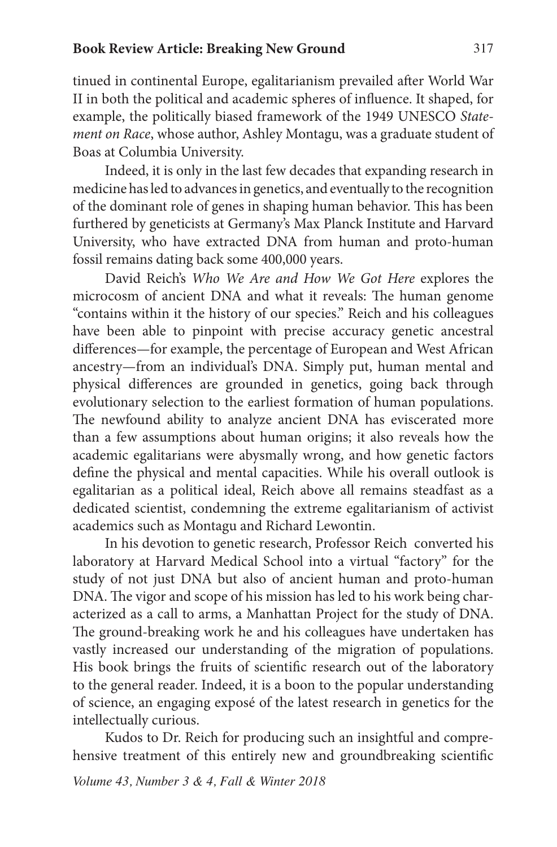#### **Book Review Article: Breaking New Ground** 317

tinued in continental Europe, egalitarianism prevailed after World War II in both the political and academic spheres of influence. It shaped, for example, the politically biased framework of the 1949 UNESCO *Statement on Race*, whose author, Ashley Montagu, was a graduate student of Boas at Columbia University.

Indeed, it is only in the last few decades that expanding research in medicine has led to advances in genetics, and eventually to the recognition of the dominant role of genes in shaping human behavior. This has been furthered by geneticists at Germany's Max Planck Institute and Harvard University, who have extracted DNA from human and proto-human fossil remains dating back some 400,000 years.

David Reich's *Who We Are and How We Got Here* explores the microcosm of ancient DNA and what it reveals: The human genome "contains within it the history of our species." Reich and his colleagues have been able to pinpoint with precise accuracy genetic ancestral differences—for example, the percentage of European and West African ancestry—from an individual's DNA. Simply put, human mental and physical differences are grounded in genetics, going back through evolutionary selection to the earliest formation of human populations. The newfound ability to analyze ancient DNA has eviscerated more than a few assumptions about human origins; it also reveals how the academic egalitarians were abysmally wrong, and how genetic factors define the physical and mental capacities. While his overall outlook is egalitarian as a political ideal, Reich above all remains steadfast as a dedicated scientist, condemning the extreme egalitarianism of activist academics such as Montagu and Richard Lewontin.

In his devotion to genetic research, Professor Reich converted his laboratory at Harvard Medical School into a virtual "factory" for the study of not just DNA but also of ancient human and proto-human DNA. The vigor and scope of his mission has led to his work being characterized as a call to arms, a Manhattan Project for the study of DNA. The ground-breaking work he and his colleagues have undertaken has vastly increased our understanding of the migration of populations. His book brings the fruits of scientific research out of the laboratory to the general reader. Indeed, it is a boon to the popular understanding of science, an engaging exposé of the latest research in genetics for the intellectually curious.

Kudos to Dr. Reich for producing such an insightful and comprehensive treatment of this entirely new and groundbreaking scientific

*Volume 43, Number 3 & 4, Fall & Winter 2018*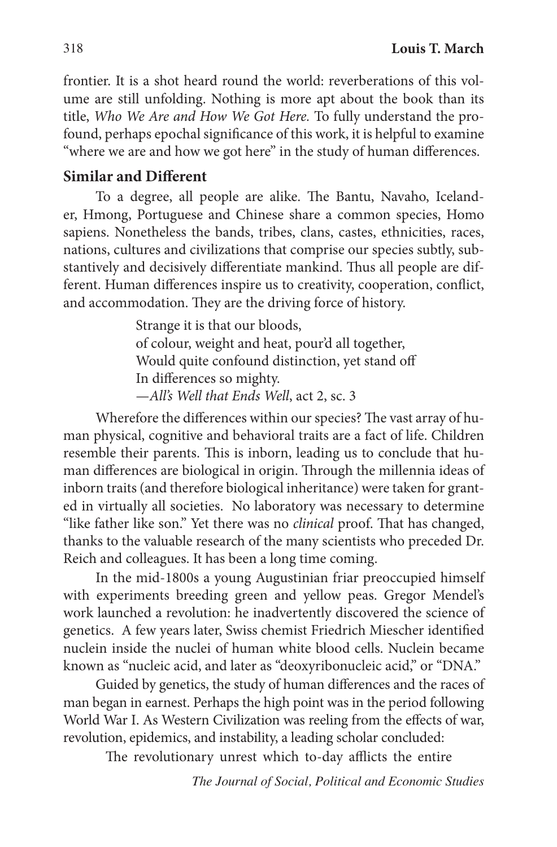frontier. It is a shot heard round the world: reverberations of this volume are still unfolding. Nothing is more apt about the book than its title, *Who We Are and How We Got Here.* To fully understand the profound, perhaps epochal significance of this work, it is helpful to examine "where we are and how we got here" in the study of human differences.

## **Similar and Different**

To a degree, all people are alike. The Bantu, Navaho, Icelander, Hmong, Portuguese and Chinese share a common species, Homo sapiens. Nonetheless the bands, tribes, clans, castes, ethnicities, races, nations, cultures and civilizations that comprise our species subtly, substantively and decisively differentiate mankind. Thus all people are different. Human differences inspire us to creativity, cooperation, conflict, and accommodation. They are the driving force of history.

> Strange it is that our bloods, of colour, weight and heat, pour'd all together, Would quite confound distinction, yet stand off In differences so mighty. —*All's Well that Ends Well*, act 2, sc. 3

Wherefore the differences within our species? The vast array of human physical, cognitive and behavioral traits are a fact of life. Children resemble their parents. This is inborn, leading us to conclude that human differences are biological in origin. Through the millennia ideas of inborn traits (and therefore biological inheritance) were taken for granted in virtually all societies. No laboratory was necessary to determine "like father like son." Yet there was no *clinical* proof. That has changed, thanks to the valuable research of the many scientists who preceded Dr. Reich and colleagues. It has been a long time coming.

In the mid-1800s a young Augustinian friar preoccupied himself with experiments breeding green and yellow peas. Gregor Mendel's work launched a revolution: he inadvertently discovered the science of genetics. A few years later, Swiss chemist Friedrich Miescher identified nuclein inside the nuclei of human white blood cells. Nuclein became known as "nucleic acid, and later as "deoxyribonucleic acid," or "DNA."

Guided by genetics, the study of human differences and the races of man began in earnest. Perhaps the high point was in the period following World War I. As Western Civilization was reeling from the effects of war, revolution, epidemics, and instability, a leading scholar concluded:

The revolutionary unrest which to-day afflicts the entire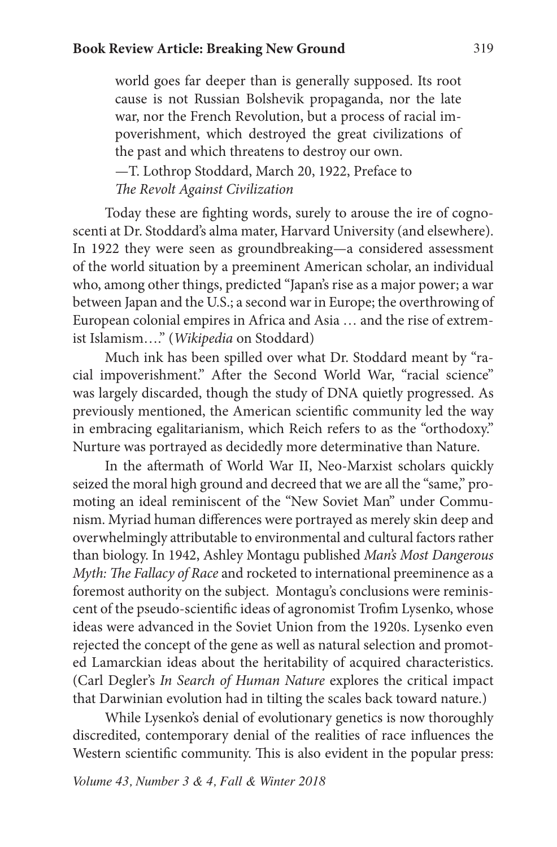world goes far deeper than is generally supposed. Its root cause is not Russian Bolshevik propaganda, nor the late war, nor the French Revolution, but a process of racial impoverishment, which destroyed the great civilizations of the past and which threatens to destroy our own.

—T. Lothrop Stoddard, March 20, 1922, Preface to *The Revolt Against Civilization*

Today these are fighting words, surely to arouse the ire of cognoscenti at Dr. Stoddard's alma mater, Harvard University (and elsewhere). In 1922 they were seen as groundbreaking—a considered assessment of the world situation by a preeminent American scholar, an individual who, among other things, predicted "Japan's rise as a major power; a war between Japan and the U.S.; a second war in Europe; the overthrowing of European colonial empires in Africa and Asia … and the rise of extremist Islamism…." (*Wikipedia* on Stoddard)

Much ink has been spilled over what Dr. Stoddard meant by "racial impoverishment." After the Second World War, "racial science" was largely discarded, though the study of DNA quietly progressed. As previously mentioned, the American scientific community led the way in embracing egalitarianism, which Reich refers to as the "orthodoxy." Nurture was portrayed as decidedly more determinative than Nature.

In the aftermath of World War II, Neo-Marxist scholars quickly seized the moral high ground and decreed that we are all the "same," promoting an ideal reminiscent of the "New Soviet Man" under Communism. Myriad human differences were portrayed as merely skin deep and overwhelmingly attributable to environmental and cultural factors rather than biology. In 1942, Ashley Montagu published *Man's Most Dangerous Myth: The Fallacy of Race* and rocketed to international preeminence as a foremost authority on the subject. Montagu's conclusions were reminiscent of the pseudo-scientific ideas of agronomist Trofim Lysenko, whose ideas were advanced in the Soviet Union from the 1920s. Lysenko even rejected the concept of the gene as well as natural selection and promoted Lamarckian ideas about the heritability of acquired characteristics. (Carl Degler's *In Search of Human Nature* explores the critical impact that Darwinian evolution had in tilting the scales back toward nature.)

While Lysenko's denial of evolutionary genetics is now thoroughly discredited, contemporary denial of the realities of race influences the Western scientific community. This is also evident in the popular press:

*Volume 43, Number 3 & 4, Fall & Winter 2018*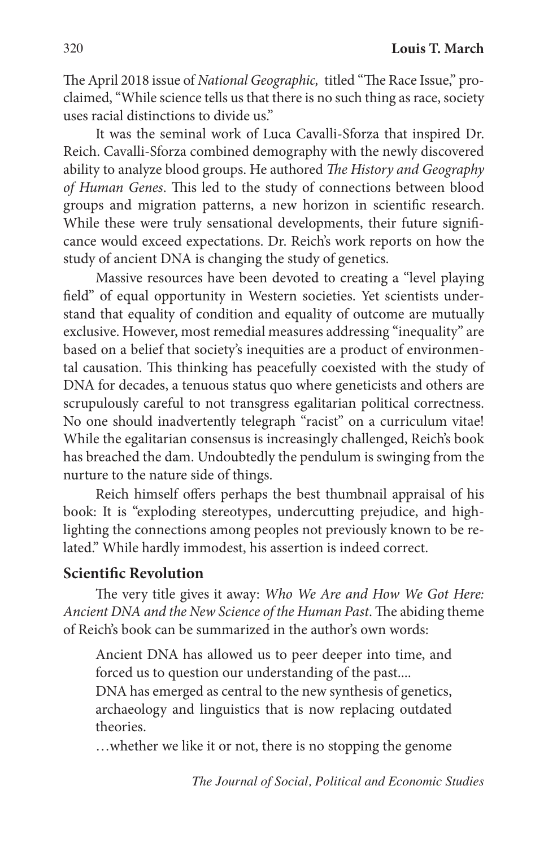The April 2018 issue of *National Geographic,* titled "The Race Issue," proclaimed, "While science tells us that there is no such thing as race, society uses racial distinctions to divide us."

It was the seminal work of Luca Cavalli-Sforza that inspired Dr. Reich. Cavalli-Sforza combined demography with the newly discovered ability to analyze blood groups. He authored *The History and Geography of Human Genes*. This led to the study of connections between blood groups and migration patterns, a new horizon in scientific research. While these were truly sensational developments, their future significance would exceed expectations. Dr. Reich's work reports on how the study of ancient DNA is changing the study of genetics.

Massive resources have been devoted to creating a "level playing field" of equal opportunity in Western societies. Yet scientists understand that equality of condition and equality of outcome are mutually exclusive. However, most remedial measures addressing "inequality" are based on a belief that society's inequities are a product of environmental causation. This thinking has peacefully coexisted with the study of DNA for decades, a tenuous status quo where geneticists and others are scrupulously careful to not transgress egalitarian political correctness. No one should inadvertently telegraph "racist" on a curriculum vitae! While the egalitarian consensus is increasingly challenged, Reich's book has breached the dam. Undoubtedly the pendulum is swinging from the nurture to the nature side of things.

Reich himself offers perhaps the best thumbnail appraisal of his book: It is "exploding stereotypes, undercutting prejudice, and highlighting the connections among peoples not previously known to be related." While hardly immodest, his assertion is indeed correct.

# **Scientific Revolution**

The very title gives it away: *Who We Are and How We Got Here: Ancient DNA and the New Science of the Human Past*. The abiding theme of Reich's book can be summarized in the author's own words:

Ancient DNA has allowed us to peer deeper into time, and forced us to question our understanding of the past....

DNA has emerged as central to the new synthesis of genetics, archaeology and linguistics that is now replacing outdated theories.

…whether we like it or not, there is no stopping the genome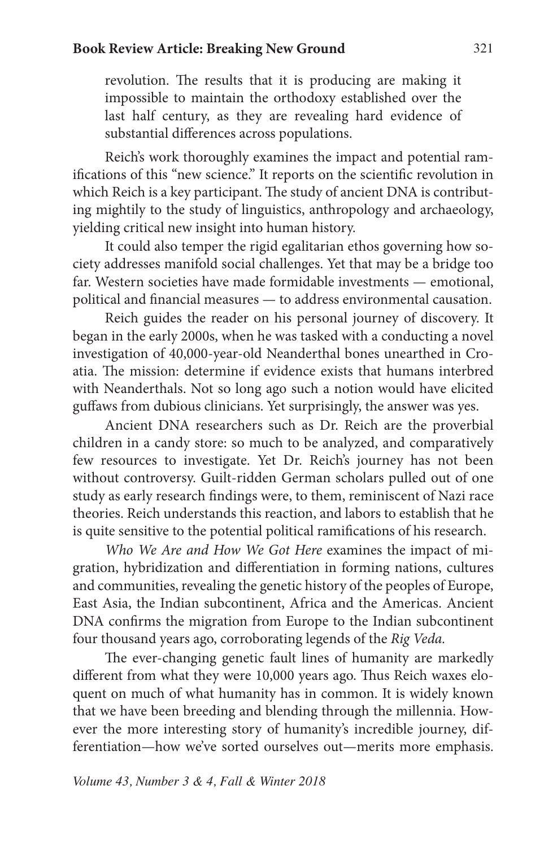revolution. The results that it is producing are making it impossible to maintain the orthodoxy established over the last half century, as they are revealing hard evidence of substantial differences across populations.

Reich's work thoroughly examines the impact and potential ramifications of this "new science." It reports on the scientific revolution in which Reich is a key participant. The study of ancient DNA is contributing mightily to the study of linguistics, anthropology and archaeology, yielding critical new insight into human history.

It could also temper the rigid egalitarian ethos governing how society addresses manifold social challenges. Yet that may be a bridge too far. Western societies have made formidable investments — emotional, political and financial measures — to address environmental causation.

Reich guides the reader on his personal journey of discovery. It began in the early 2000s, when he was tasked with a conducting a novel investigation of 40,000-year-old Neanderthal bones unearthed in Croatia. The mission: determine if evidence exists that humans interbred with Neanderthals. Not so long ago such a notion would have elicited guffaws from dubious clinicians. Yet surprisingly, the answer was yes.

Ancient DNA researchers such as Dr. Reich are the proverbial children in a candy store: so much to be analyzed, and comparatively few resources to investigate. Yet Dr. Reich's journey has not been without controversy. Guilt-ridden German scholars pulled out of one study as early research findings were, to them, reminiscent of Nazi race theories. Reich understands this reaction, and labors to establish that he is quite sensitive to the potential political ramifications of his research.

*Who We Are and How We Got Here* examines the impact of migration, hybridization and differentiation in forming nations, cultures and communities, revealing the genetic history of the peoples of Europe, East Asia, the Indian subcontinent, Africa and the Americas. Ancient DNA confirms the migration from Europe to the Indian subcontinent four thousand years ago, corroborating legends of the *Rig Veda.* 

The ever-changing genetic fault lines of humanity are markedly different from what they were 10,000 years ago. Thus Reich waxes eloquent on much of what humanity has in common. It is widely known that we have been breeding and blending through the millennia. However the more interesting story of humanity's incredible journey, differentiation—how we've sorted ourselves out—merits more emphasis.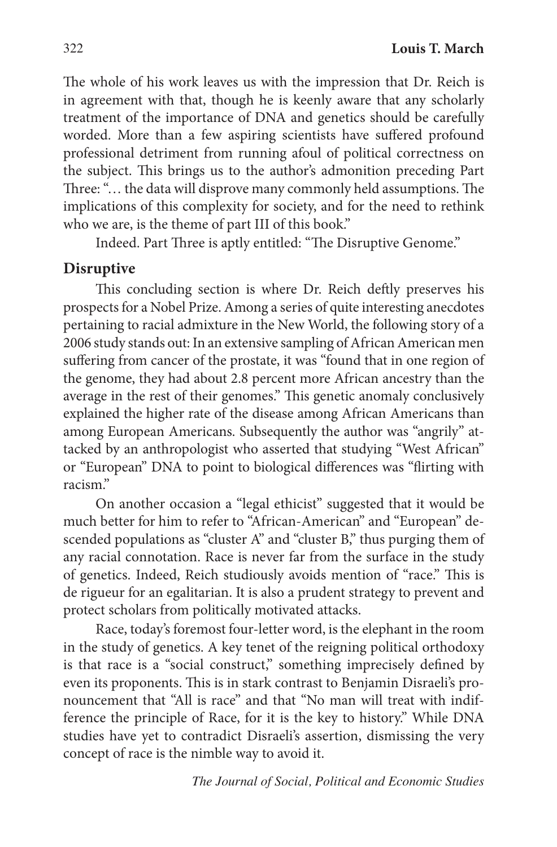The whole of his work leaves us with the impression that Dr. Reich is in agreement with that, though he is keenly aware that any scholarly treatment of the importance of DNA and genetics should be carefully worded. More than a few aspiring scientists have suffered profound professional detriment from running afoul of political correctness on the subject. This brings us to the author's admonition preceding Part Three: "… the data will disprove many commonly held assumptions. The implications of this complexity for society, and for the need to rethink who we are, is the theme of part III of this book."

Indeed. Part Three is aptly entitled: "The Disruptive Genome."

# **Disruptive**

This concluding section is where Dr. Reich deftly preserves his prospects for a Nobel Prize. Among a series of quite interesting anecdotes pertaining to racial admixture in the New World, the following story of a 2006 study stands out: In an extensive sampling of African American men suffering from cancer of the prostate, it was "found that in one region of the genome, they had about 2.8 percent more African ancestry than the average in the rest of their genomes." This genetic anomaly conclusively explained the higher rate of the disease among African Americans than among European Americans. Subsequently the author was "angrily" attacked by an anthropologist who asserted that studying "West African" or "European" DNA to point to biological differences was "flirting with racism."

On another occasion a "legal ethicist" suggested that it would be much better for him to refer to "African-American" and "European" descended populations as "cluster A" and "cluster B," thus purging them of any racial connotation. Race is never far from the surface in the study of genetics. Indeed, Reich studiously avoids mention of "race." This is de rigueur for an egalitarian. It is also a prudent strategy to prevent and protect scholars from politically motivated attacks.

Race, today's foremost four-letter word, is the elephant in the room in the study of genetics. A key tenet of the reigning political orthodoxy is that race is a "social construct," something imprecisely defined by even its proponents. This is in stark contrast to Benjamin Disraeli's pronouncement that "All is race" and that "No man will treat with indifference the principle of Race, for it is the key to history." While DNA studies have yet to contradict Disraeli's assertion, dismissing the very concept of race is the nimble way to avoid it.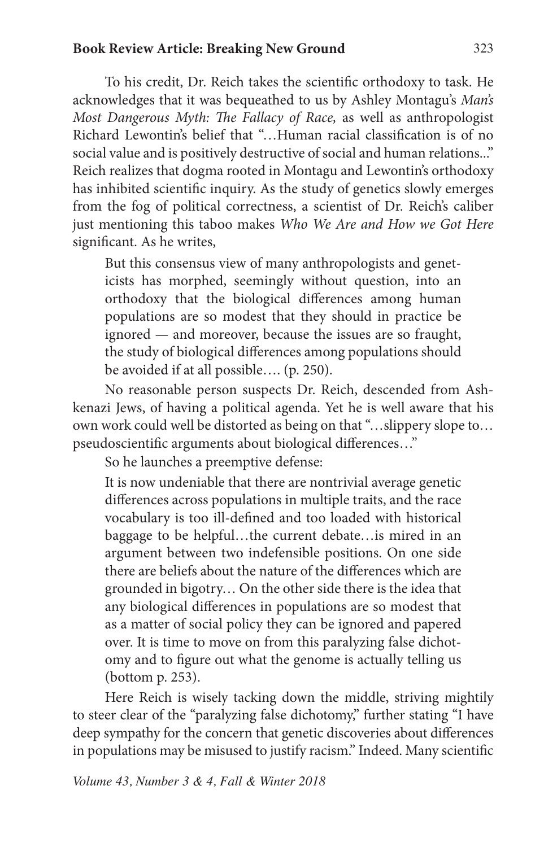#### **Book Review Article: Breaking New Ground** 323

To his credit, Dr. Reich takes the scientific orthodoxy to task. He acknowledges that it was bequeathed to us by Ashley Montagu's *Man's Most Dangerous Myth: The Fallacy of Race,* as well as anthropologist Richard Lewontin's belief that "…Human racial classification is of no social value and is positively destructive of social and human relations..." Reich realizes that dogma rooted in Montagu and Lewontin's orthodoxy has inhibited scientific inquiry. As the study of genetics slowly emerges from the fog of political correctness, a scientist of Dr. Reich's caliber just mentioning this taboo makes *Who We Are and How we Got Here*  significant. As he writes,

But this consensus view of many anthropologists and geneticists has morphed, seemingly without question, into an orthodoxy that the biological differences among human populations are so modest that they should in practice be ignored — and moreover, because the issues are so fraught, the study of biological differences among populations should be avoided if at all possible…. (p. 250).

No reasonable person suspects Dr. Reich, descended from Ashkenazi Jews, of having a political agenda. Yet he is well aware that his own work could well be distorted as being on that "…slippery slope to… pseudoscientific arguments about biological differences…"

So he launches a preemptive defense:

It is now undeniable that there are nontrivial average genetic differences across populations in multiple traits, and the race vocabulary is too ill-defined and too loaded with historical baggage to be helpful…the current debate…is mired in an argument between two indefensible positions. On one side there are beliefs about the nature of the differences which are grounded in bigotry… On the other side there is the idea that any biological differences in populations are so modest that as a matter of social policy they can be ignored and papered over. It is time to move on from this paralyzing false dichotomy and to figure out what the genome is actually telling us (bottom p. 253).

Here Reich is wisely tacking down the middle, striving mightily to steer clear of the "paralyzing false dichotomy," further stating "I have deep sympathy for the concern that genetic discoveries about differences in populations may be misused to justify racism." Indeed. Many scientific